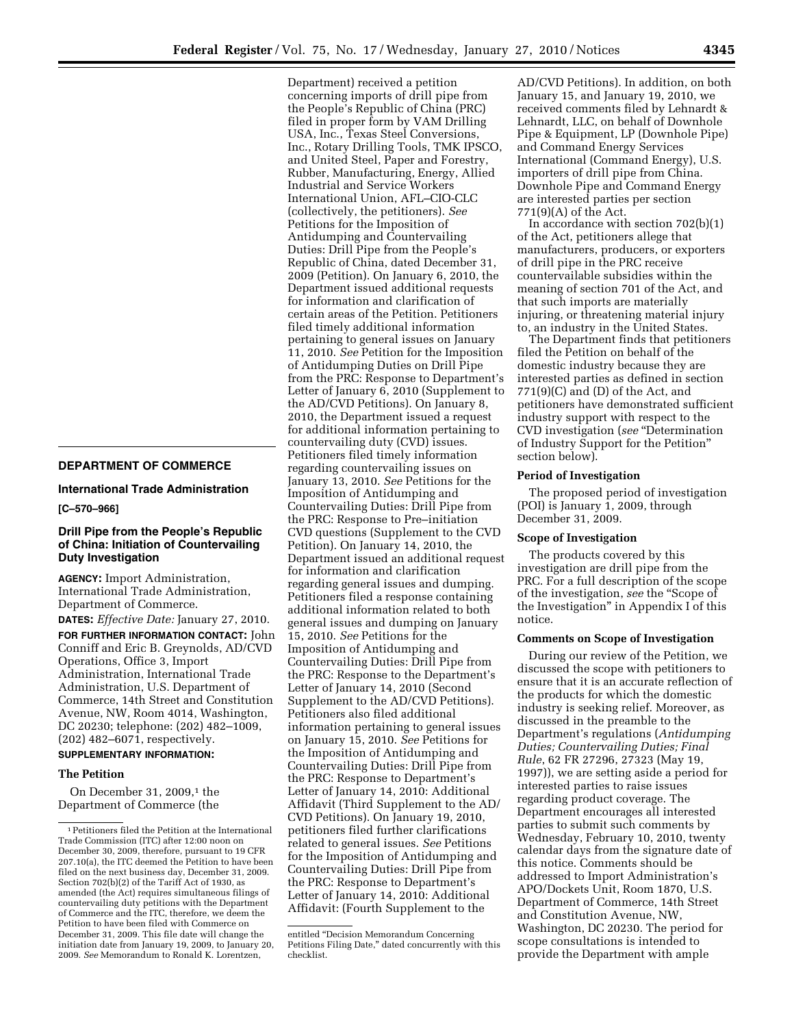# **DEPARTMENT OF COMMERCE**

**International Trade Administration** 

#### **[C–570–966]**

### **Drill Pipe from the People's Republic of China: Initiation of Countervailing Duty Investigation**

**AGENCY:** Import Administration, International Trade Administration, Department of Commerce.

**DATES:** *Effective Date:* January 27, 2010.

**FOR FURTHER INFORMATION CONTACT:** John Conniff and Eric B. Greynolds, AD/CVD Operations, Office 3, Import Administration, International Trade Administration, U.S. Department of Commerce, 14th Street and Constitution Avenue, NW, Room 4014, Washington, DC 20230; telephone: (202) 482–1009, (202) 482–6071, respectively.

# **SUPPLEMENTARY INFORMATION:**

### **The Petition**

On December 31, 2009, $1$  the Department of Commerce (the

Department) received a petition concerning imports of drill pipe from the People's Republic of China (PRC) filed in proper form by VAM Drilling USA, Inc., Texas Steel Conversions, Inc., Rotary Drilling Tools, TMK IPSCO, and United Steel, Paper and Forestry, Rubber, Manufacturing, Energy, Allied Industrial and Service Workers International Union, AFL–CIO-CLC (collectively, the petitioners). *See*  Petitions for the Imposition of Antidumping and Countervailing Duties: Drill Pipe from the People's Republic of China, dated December 31, 2009 (Petition). On January 6, 2010, the Department issued additional requests for information and clarification of certain areas of the Petition. Petitioners filed timely additional information pertaining to general issues on January 11, 2010. *See* Petition for the Imposition of Antidumping Duties on Drill Pipe from the PRC: Response to Department's Letter of January 6, 2010 (Supplement to the AD/CVD Petitions). On January 8, 2010, the Department issued a request for additional information pertaining to countervailing duty (CVD) issues. Petitioners filed timely information regarding countervailing issues on January 13, 2010. *See* Petitions for the Imposition of Antidumping and Countervailing Duties: Drill Pipe from the PRC: Response to Pre–initiation CVD questions (Supplement to the CVD Petition). On January 14, 2010, the Department issued an additional request for information and clarification regarding general issues and dumping. Petitioners filed a response containing additional information related to both general issues and dumping on January 15, 2010. *See* Petitions for the Imposition of Antidumping and Countervailing Duties: Drill Pipe from the PRC: Response to the Department's Letter of January 14, 2010 (Second Supplement to the AD/CVD Petitions). Petitioners also filed additional information pertaining to general issues on January 15, 2010. *See* Petitions for the Imposition of Antidumping and Countervailing Duties: Drill Pipe from the PRC: Response to Department's Letter of January 14, 2010: Additional Affidavit (Third Supplement to the AD/ CVD Petitions). On January 19, 2010, petitioners filed further clarifications related to general issues. *See* Petitions for the Imposition of Antidumping and Countervailing Duties: Drill Pipe from the PRC: Response to Department's Letter of January 14, 2010: Additional Affidavit: (Fourth Supplement to the

AD/CVD Petitions). In addition, on both January 15, and January 19, 2010, we received comments filed by Lehnardt & Lehnardt, LLC, on behalf of Downhole Pipe & Equipment, LP (Downhole Pipe) and Command Energy Services International (Command Energy), U.S. importers of drill pipe from China. Downhole Pipe and Command Energy are interested parties per section 771(9)(A) of the Act.

In accordance with section 702(b)(1) of the Act, petitioners allege that manufacturers, producers, or exporters of drill pipe in the PRC receive countervailable subsidies within the meaning of section 701 of the Act, and that such imports are materially injuring, or threatening material injury to, an industry in the United States.

The Department finds that petitioners filed the Petition on behalf of the domestic industry because they are interested parties as defined in section 771(9)(C) and (D) of the Act, and petitioners have demonstrated sufficient industry support with respect to the CVD investigation (*see* ''Determination of Industry Support for the Petition'' section below).

### **Period of Investigation**

The proposed period of investigation (POI) is January 1, 2009, through December 31, 2009.

#### **Scope of Investigation**

The products covered by this investigation are drill pipe from the PRC. For a full description of the scope of the investigation, *see* the ''Scope of the Investigation'' in Appendix I of this notice.

#### **Comments on Scope of Investigation**

During our review of the Petition, we discussed the scope with petitioners to ensure that it is an accurate reflection of the products for which the domestic industry is seeking relief. Moreover, as discussed in the preamble to the Department's regulations (*Antidumping Duties; Countervailing Duties; Final Rule*, 62 FR 27296, 27323 (May 19, 1997)), we are setting aside a period for interested parties to raise issues regarding product coverage. The Department encourages all interested parties to submit such comments by Wednesday, February 10, 2010, twenty calendar days from the signature date of this notice. Comments should be addressed to Import Administration's APO/Dockets Unit, Room 1870, U.S. Department of Commerce, 14th Street and Constitution Avenue, NW, Washington, DC 20230. The period for scope consultations is intended to provide the Department with ample

<sup>1</sup>Petitioners filed the Petition at the International Trade Commission (ITC) after 12:00 noon on December 30, 2009, therefore, pursuant to 19 CFR 207.10(a), the ITC deemed the Petition to have been filed on the next business day, December 31, 2009. Section 702(b)(2) of the Tariff Act of 1930, as amended (the Act) requires simultaneous filings of countervailing duty petitions with the Department of Commerce and the ITC, therefore, we deem the Petition to have been filed with Commerce on December 31, 2009. This file date will change the initiation date from January 19, 2009, to January 20, 2009. *See* Memorandum to Ronald K. Lorentzen,

entitled ''Decision Memorandum Concerning Petitions Filing Date,'' dated concurrently with this checklist.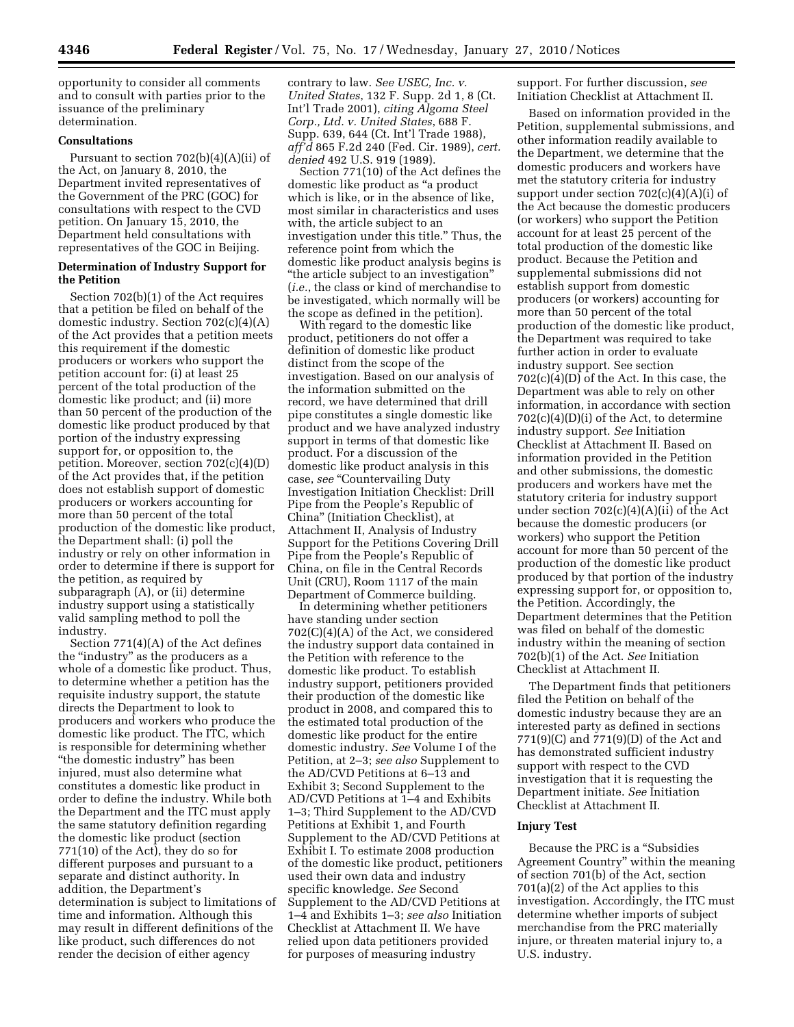opportunity to consider all comments and to consult with parties prior to the issuance of the preliminary determination.

# **Consultations**

Pursuant to section 702(b)(4)(A)(ii) of the Act, on January 8, 2010, the Department invited representatives of the Government of the PRC (GOC) for consultations with respect to the CVD petition. On January 15, 2010, the Department held consultations with representatives of the GOC in Beijing.

## **Determination of Industry Support for the Petition**

Section 702(b)(1) of the Act requires that a petition be filed on behalf of the domestic industry. Section 702(c)(4)(A) of the Act provides that a petition meets this requirement if the domestic producers or workers who support the petition account for: (i) at least 25 percent of the total production of the domestic like product; and (ii) more than 50 percent of the production of the domestic like product produced by that portion of the industry expressing support for, or opposition to, the petition. Moreover, section 702(c)(4)(D) of the Act provides that, if the petition does not establish support of domestic producers or workers accounting for more than 50 percent of the total production of the domestic like product, the Department shall: (i) poll the industry or rely on other information in order to determine if there is support for the petition, as required by subparagraph (A), or (ii) determine industry support using a statistically valid sampling method to poll the industry.

Section 771(4)(A) of the Act defines the ''industry'' as the producers as a whole of a domestic like product. Thus, to determine whether a petition has the requisite industry support, the statute directs the Department to look to producers and workers who produce the domestic like product. The ITC, which is responsible for determining whether ''the domestic industry'' has been injured, must also determine what constitutes a domestic like product in order to define the industry. While both the Department and the ITC must apply the same statutory definition regarding the domestic like product (section 771(10) of the Act), they do so for different purposes and pursuant to a separate and distinct authority. In addition, the Department's determination is subject to limitations of time and information. Although this may result in different definitions of the like product, such differences do not render the decision of either agency

contrary to law. *See USEC, Inc. v. United States*, 132 F. Supp. 2d 1, 8 (Ct. Int'l Trade 2001), *citing Algoma Steel Corp., Ltd. v. United States*, 688 F. Supp. 639, 644 (Ct. Int'l Trade 1988), *aff'd* 865 F.2d 240 (Fed. Cir. 1989), *cert. denied* 492 U.S. 919 (1989).

Section 771(10) of the Act defines the domestic like product as ''a product which is like, or in the absence of like, most similar in characteristics and uses with, the article subject to an investigation under this title.'' Thus, the reference point from which the domestic like product analysis begins is ''the article subject to an investigation'' (*i.e.*, the class or kind of merchandise to be investigated, which normally will be the scope as defined in the petition).

With regard to the domestic like product, petitioners do not offer a definition of domestic like product distinct from the scope of the investigation. Based on our analysis of the information submitted on the record, we have determined that drill pipe constitutes a single domestic like product and we have analyzed industry support in terms of that domestic like product. For a discussion of the domestic like product analysis in this case, *see* "Countervailing Duty Investigation Initiation Checklist: Drill Pipe from the People's Republic of China'' (Initiation Checklist), at Attachment II, Analysis of Industry Support for the Petitions Covering Drill Pipe from the People's Republic of China, on file in the Central Records Unit (CRU), Room 1117 of the main Department of Commerce building.

In determining whether petitioners have standing under section 702(C)(4)(A) of the Act, we considered the industry support data contained in the Petition with reference to the domestic like product. To establish industry support, petitioners provided their production of the domestic like product in 2008, and compared this to the estimated total production of the domestic like product for the entire domestic industry. *See* Volume I of the Petition, at 2–3; *see also* Supplement to the AD/CVD Petitions at 6–13 and Exhibit 3; Second Supplement to the AD/CVD Petitions at 1–4 and Exhibits 1–3; Third Supplement to the AD/CVD Petitions at Exhibit 1, and Fourth Supplement to the AD/CVD Petitions at Exhibit I. To estimate 2008 production of the domestic like product, petitioners used their own data and industry specific knowledge. *See* Second Supplement to the AD/CVD Petitions at 1–4 and Exhibits 1–3; *see also* Initiation Checklist at Attachment II. We have relied upon data petitioners provided for purposes of measuring industry

support. For further discussion, *see*  Initiation Checklist at Attachment II.

Based on information provided in the Petition, supplemental submissions, and other information readily available to the Department, we determine that the domestic producers and workers have met the statutory criteria for industry support under section 702(c)(4)(A)(i) of the Act because the domestic producers (or workers) who support the Petition account for at least 25 percent of the total production of the domestic like product. Because the Petition and supplemental submissions did not establish support from domestic producers (or workers) accounting for more than 50 percent of the total production of the domestic like product, the Department was required to take further action in order to evaluate industry support. See section 702(c)(4)(D) of the Act. In this case, the Department was able to rely on other information, in accordance with section  $702(c)(4)(D)(i)$  of the Act, to determine industry support. *See* Initiation Checklist at Attachment II. Based on information provided in the Petition and other submissions, the domestic producers and workers have met the statutory criteria for industry support under section  $702(c)(4)(A)(ii)$  of the Act because the domestic producers (or workers) who support the Petition account for more than 50 percent of the production of the domestic like product produced by that portion of the industry expressing support for, or opposition to, the Petition. Accordingly, the Department determines that the Petition was filed on behalf of the domestic industry within the meaning of section 702(b)(1) of the Act. *See* Initiation Checklist at Attachment II.

The Department finds that petitioners filed the Petition on behalf of the domestic industry because they are an interested party as defined in sections 771(9)(C) and 771(9)(D) of the Act and has demonstrated sufficient industry support with respect to the CVD investigation that it is requesting the Department initiate. *See* Initiation Checklist at Attachment II.

### **Injury Test**

Because the PRC is a ''Subsidies Agreement Country'' within the meaning of section 701(b) of the Act, section 701(a)(2) of the Act applies to this investigation. Accordingly, the ITC must determine whether imports of subject merchandise from the PRC materially injure, or threaten material injury to, a U.S. industry.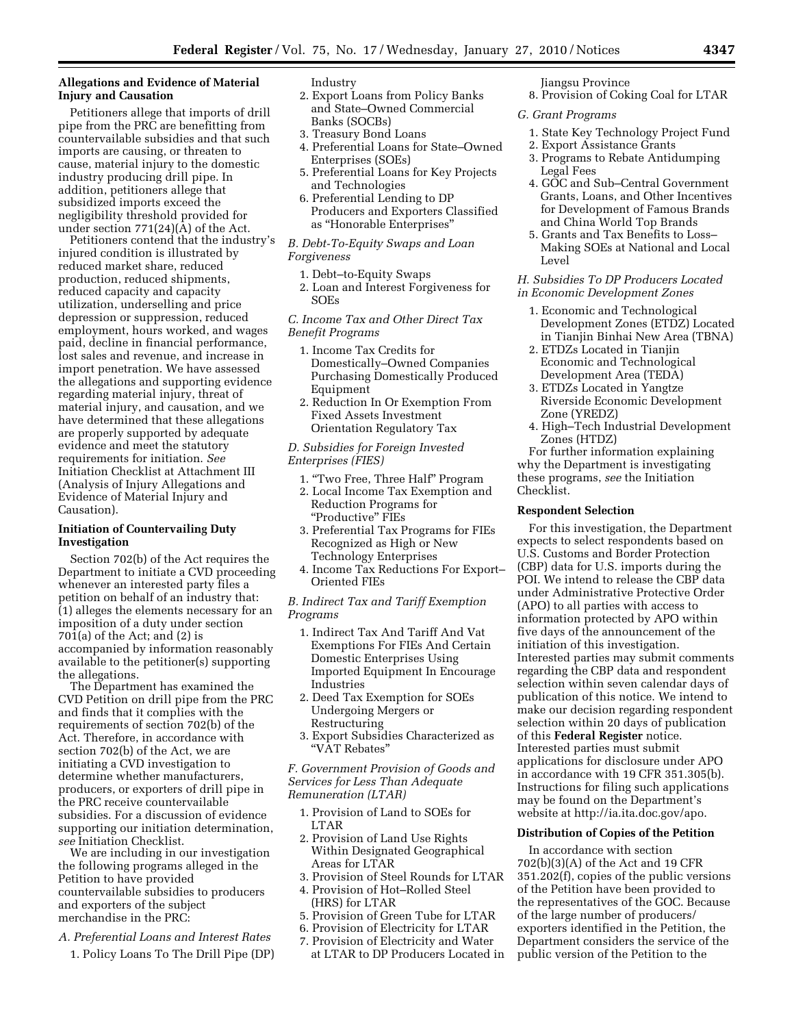# **Allegations and Evidence of Material Injury and Causation**

Petitioners allege that imports of drill pipe from the PRC are benefitting from countervailable subsidies and that such imports are causing, or threaten to cause, material injury to the domestic industry producing drill pipe. In addition, petitioners allege that subsidized imports exceed the negligibility threshold provided for under section 771(24)(A) of the Act.

Petitioners contend that the industry's injured condition is illustrated by reduced market share, reduced production, reduced shipments, reduced capacity and capacity utilization, underselling and price depression or suppression, reduced employment, hours worked, and wages paid, decline in financial performance, lost sales and revenue, and increase in import penetration. We have assessed the allegations and supporting evidence regarding material injury, threat of material injury, and causation, and we have determined that these allegations are properly supported by adequate evidence and meet the statutory requirements for initiation. *See*  Initiation Checklist at Attachment III (Analysis of Injury Allegations and Evidence of Material Injury and Causation).

### **Initiation of Countervailing Duty Investigation**

Section 702(b) of the Act requires the Department to initiate a CVD proceeding whenever an interested party files a petition on behalf of an industry that: (1) alleges the elements necessary for an imposition of a duty under section 701(a) of the Act; and (2) is accompanied by information reasonably available to the petitioner(s) supporting the allegations.

The Department has examined the CVD Petition on drill pipe from the PRC and finds that it complies with the requirements of section 702(b) of the Act. Therefore, in accordance with section 702(b) of the Act, we are initiating a CVD investigation to determine whether manufacturers, producers, or exporters of drill pipe in the PRC receive countervailable subsidies. For a discussion of evidence supporting our initiation determination, *see* Initiation Checklist.

We are including in our investigation the following programs alleged in the Petition to have provided countervailable subsidies to producers and exporters of the subject merchandise in the PRC:

- *A. Preferential Loans and Interest Rates* 
	- 1. Policy Loans To The Drill Pipe (DP)

## Industry

- 2. Export Loans from Policy Banks and State–Owned Commercial Banks (SOCBs)
- 3. Treasury Bond Loans
- 4. Preferential Loans for State–Owned Enterprises (SOEs)
- 5. Preferential Loans for Key Projects and Technologies
- 6. Preferential Lending to DP Producers and Exporters Classified as ''Honorable Enterprises''

*B. Debt-To-Equity Swaps and Loan Forgiveness* 

- 1. Debt–to-Equity Swaps
- 2. Loan and Interest Forgiveness for SOEs

*C. Income Tax and Other Direct Tax Benefit Programs* 

- 1. Income Tax Credits for Domestically–Owned Companies Purchasing Domestically Produced Equipment
- 2. Reduction In Or Exemption From Fixed Assets Investment Orientation Regulatory Tax

*D. Subsidies for Foreign Invested Enterprises (FIES)* 

- 1. ''Two Free, Three Half'' Program
- 2. Local Income Tax Exemption and Reduction Programs for ''Productive'' FIEs
- 3. Preferential Tax Programs for FIEs Recognized as High or New Technology Enterprises
- 4. Income Tax Reductions For Export– Oriented FIEs

*B. Indirect Tax and Tariff Exemption Programs* 

- 1. Indirect Tax And Tariff And Vat Exemptions For FIEs And Certain Domestic Enterprises Using Imported Equipment In Encourage Industries
- 2. Deed Tax Exemption for SOEs Undergoing Mergers or Restructuring
- 3. Export Subsidies Characterized as ''VAT Rebates''

*F. Government Provision of Goods and Services for Less Than Adequate Remuneration (LTAR)* 

- 1. Provision of Land to SOEs for LTAR
- 2. Provision of Land Use Rights Within Designated Geographical Areas for LTAR
- 3. Provision of Steel Rounds for LTAR
- 4. Provision of Hot–Rolled Steel
- (HRS) for LTAR
- 5. Provision of Green Tube for LTAR
- 6. Provision of Electricity for LTAR
- 7. Provision of Electricity and Water at LTAR to DP Producers Located in

#### Jiangsu Province 8. Provision of Coking Coal for LTAR

- *G. Grant Programs* 
	- 1. State Key Technology Project Fund
- 2. Export Assistance Grants
- 3. Programs to Rebate Antidumping Legal Fees
- 4. GOC and Sub–Central Government Grants, Loans, and Other Incentives for Development of Famous Brands and China World Top Brands
- 5. Grants and Tax Benefits to Loss– Making SOEs at National and Local Level

## *H. Subsidies To DP Producers Located in Economic Development Zones*

- 1. Economic and Technological Development Zones (ETDZ) Located in Tianjin Binhai New Area (TBNA)
- 2. ETDZs Located in Tianjin Economic and Technological Development Area (TEDA)
- 3. ETDZs Located in Yangtze Riverside Economic Development Zone (YREDZ)
- 4. High–Tech Industrial Development Zones (HTDZ)

For further information explaining why the Department is investigating these programs, *see* the Initiation Checklist.

## **Respondent Selection**

For this investigation, the Department expects to select respondents based on U.S. Customs and Border Protection (CBP) data for U.S. imports during the POI. We intend to release the CBP data under Administrative Protective Order (APO) to all parties with access to information protected by APO within five days of the announcement of the initiation of this investigation. Interested parties may submit comments regarding the CBP data and respondent selection within seven calendar days of publication of this notice. We intend to make our decision regarding respondent selection within 20 days of publication of this **Federal Register** notice. Interested parties must submit applications for disclosure under APO in accordance with 19 CFR 351.305(b). Instructions for filing such applications may be found on the Department's website at http://ia.ita.doc.gov/apo.

## **Distribution of Copies of the Petition**

In accordance with section 702(b)(3)(A) of the Act and 19 CFR 351.202(f), copies of the public versions of the Petition have been provided to the representatives of the GOC. Because of the large number of producers/ exporters identified in the Petition, the Department considers the service of the public version of the Petition to the